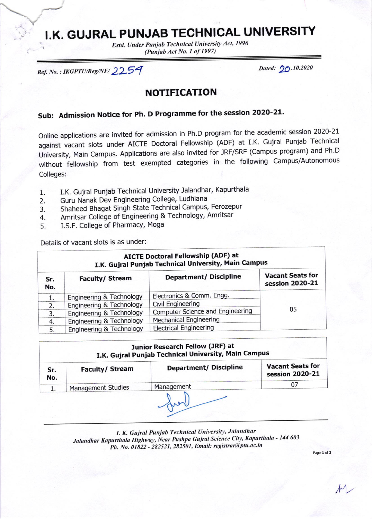## I.K. GUJRAL PUNJAB TECHNICAL UNIVERSITY

Estd. Under Punjab Technical University Act, 1996 (Punjab Act No. 1 of 1997)

Ref. No.: IKGPTU/Reg/NF/2254

Dated: 20.10.2020

## **NOTIFICATION**

## Sub: Admission Notice for Ph. D Programme for the session 2020-21.

Online applications are invited for admission in Ph.D program for the academic session 2020-21 against vacant slots under AICTE Doctoral Fellowship (ADF) at I.K. Gujral Punjab Technical University, Main Campus. Applications are also invited for JRF/SRF (Campus program) and Ph.D without fellowship from test exempted categories in the following Campus/Autonomous Colleges:

- I.K. Gujral Punjab Technical University Jalandhar, Kapurthala  $1.$
- Guru Nanak Dev Engineering College, Ludhiana 2.
- Shaheed Bhagat Singh State Technical Campus, Ferozepur 3.
- Amritsar College of Engineering & Technology, Amritsar 4.
- I.S.F. College of Pharmacy, Moga 5.

Details of vacant slots is as under:

| <b>AICTE Doctoral Fellowship (ADF) at</b><br>I.K. Gujral Punjab Technical University, Main Campus |                          |                                  |                                            |  |
|---------------------------------------------------------------------------------------------------|--------------------------|----------------------------------|--------------------------------------------|--|
| Sr.<br>No.                                                                                        | <b>Faculty/Stream</b>    | <b>Department/ Discipline</b>    | <b>Vacant Seats for</b><br>session 2020-21 |  |
|                                                                                                   | Engineering & Technology | Electronics & Comm. Engg.        |                                            |  |
| 2.                                                                                                | Engineering & Technology | Civil Engineering                |                                            |  |
| 3.                                                                                                | Engineering & Technology | Computer Science and Engineering | 05                                         |  |
| 4.                                                                                                | Engineering & Technology | <b>Mechanical Engineering</b>    |                                            |  |
| 5.                                                                                                | Engineering & Technology | <b>Electrical Engineering</b>    |                                            |  |

| Junior Research Fellow (JRF) at<br>I.K. Gujral Punjab Technical University, Main Campus |                           |                               |                                            |  |
|-----------------------------------------------------------------------------------------|---------------------------|-------------------------------|--------------------------------------------|--|
| Sr.<br>No.                                                                              | <b>Faculty/Stream</b>     | <b>Department/ Discipline</b> | <b>Vacant Seats for</b><br>session 2020-21 |  |
|                                                                                         | <b>Management Studies</b> | Management                    |                                            |  |

I. K. Gujral Punjab Technical University, Jalandhar Jalandhar Kapurthala Highway, Near Pushpa Gujral Science City, Kapurthala - 144 603 Ph. No. 01822 - 282521, 282501, Email: registrar@ptu.ac.in

Page 1 of 3

M